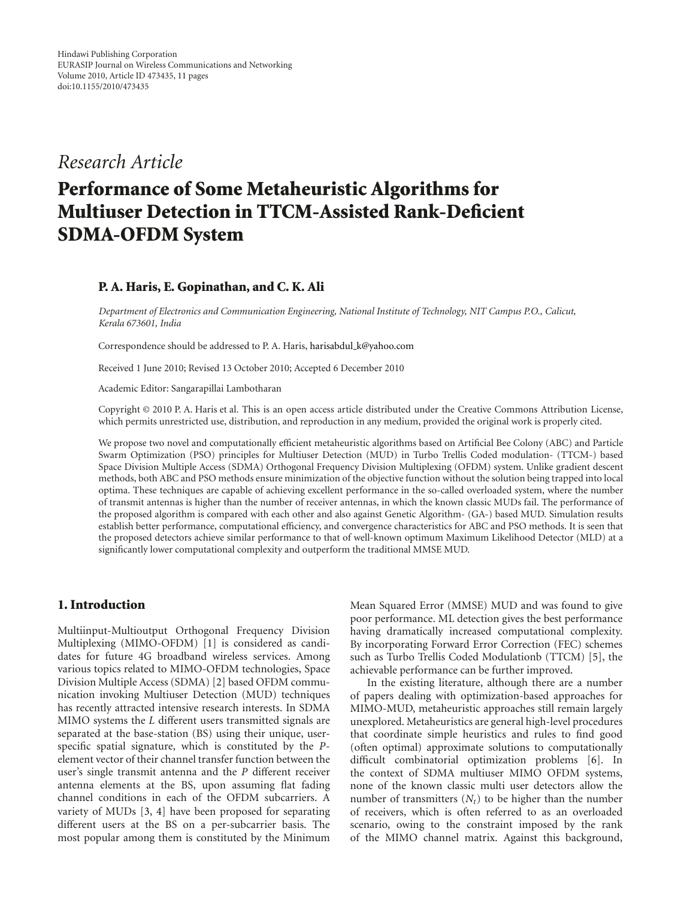*Research Article*

# **Performance of Some Metaheuristic Algorithms for Multiuser Detection in TTCM-Assisted Rank-Deficient SDMA-OFDM System**

## **P. A. Haris, E. Gopinathan, and C. K. Ali**

*Department of Electronics and Communication Engineering, National Institute of Technology, NIT Campus P.O., Calicut, Kerala 673601, India*

Correspondence should be addressed to P. A. Haris, harisabdul k@yahoo.com

Received 1 June 2010; Revised 13 October 2010; Accepted 6 December 2010

Academic Editor: Sangarapillai Lambotharan

Copyright © 2010 P. A. Haris et al. This is an open access article distributed under the Creative Commons Attribution License, which permits unrestricted use, distribution, and reproduction in any medium, provided the original work is properly cited.

We propose two novel and computationally efficient metaheuristic algorithms based on Artificial Bee Colony (ABC) and Particle Swarm Optimization (PSO) principles for Multiuser Detection (MUD) in Turbo Trellis Coded modulation- (TTCM-) based Space Division Multiple Access (SDMA) Orthogonal Frequency Division Multiplexing (OFDM) system. Unlike gradient descent methods, both ABC and PSO methods ensure minimization of the objective function without the solution being trapped into local optima. These techniques are capable of achieving excellent performance in the so-called overloaded system, where the number of transmit antennas is higher than the number of receiver antennas, in which the known classic MUDs fail. The performance of the proposed algorithm is compared with each other and also against Genetic Algorithm- (GA-) based MUD. Simulation results establish better performance, computational efficiency, and convergence characteristics for ABC and PSO methods. It is seen that the proposed detectors achieve similar performance to that of well-known optimum Maximum Likelihood Detector (MLD) at a significantly lower computational complexity and outperform the traditional MMSE MUD.

# **1. Introduction**

Multiinput-Multioutput Orthogonal Frequency Division Multiplexing (MIMO-OFDM) [1] is considered as candidates for future 4G broadband wireless services. Among various topics related to MIMO-OFDM technologies, Space Division Multiple Access (SDMA) [2] based OFDM communication invoking Multiuser Detection (MUD) techniques has recently attracted intensive research interests. In SDMA MIMO systems the *L* different users transmitted signals are separated at the base-station (BS) using their unique, userspecific spatial signature, which is constituted by the *P*element vector of their channel transfer function between the user's single transmit antenna and the *P* different receiver antenna elements at the BS, upon assuming flat fading channel conditions in each of the OFDM subcarriers. A variety of MUDs [3, 4] have been proposed for separating different users at the BS on a per-subcarrier basis. The most popular among them is constituted by the Minimum

Mean Squared Error (MMSE) MUD and was found to give poor performance. ML detection gives the best performance having dramatically increased computational complexity. By incorporating Forward Error Correction (FEC) schemes such as Turbo Trellis Coded Modulationb (TTCM) [5], the achievable performance can be further improved.

In the existing literature, although there are a number of papers dealing with optimization-based approaches for MIMO-MUD, metaheuristic approaches still remain largely unexplored. Metaheuristics are general high-level procedures that coordinate simple heuristics and rules to find good (often optimal) approximate solutions to computationally difficult combinatorial optimization problems [6]. In the context of SDMA multiuser MIMO OFDM systems, none of the known classic multi user detectors allow the number of transmitters  $(N_t)$  to be higher than the number of receivers, which is often referred to as an overloaded scenario, owing to the constraint imposed by the rank of the MIMO channel matrix. Against this background,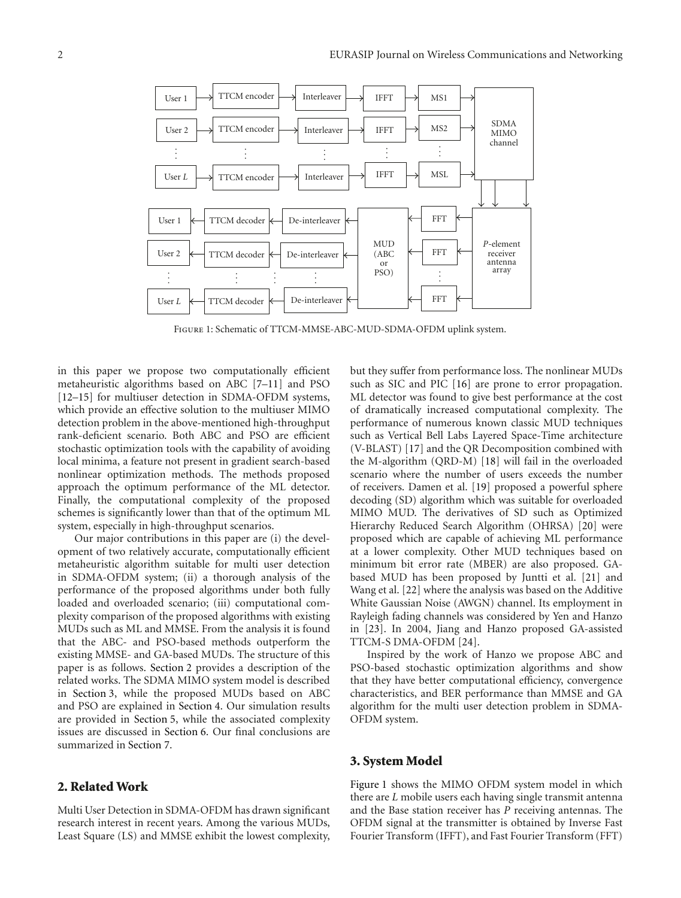

Figure 1: Schematic of TTCM-MMSE-ABC-MUD-SDMA-OFDM uplink system.

in this paper we propose two computationally efficient metaheuristic algorithms based on ABC [7–11] and PSO [12–15] for multiuser detection in SDMA-OFDM systems, which provide an effective solution to the multiuser MIMO detection problem in the above-mentioned high-throughput rank-deficient scenario. Both ABC and PSO are efficient stochastic optimization tools with the capability of avoiding local minima, a feature not present in gradient search-based nonlinear optimization methods. The methods proposed approach the optimum performance of the ML detector. Finally, the computational complexity of the proposed schemes is significantly lower than that of the optimum ML system, especially in high-throughput scenarios.

Our major contributions in this paper are (i) the development of two relatively accurate, computationally efficient metaheuristic algorithm suitable for multi user detection in SDMA-OFDM system; (ii) a thorough analysis of the performance of the proposed algorithms under both fully loaded and overloaded scenario; (iii) computational complexity comparison of the proposed algorithms with existing MUDs such as ML and MMSE. From the analysis it is found that the ABC- and PSO-based methods outperform the existing MMSE- and GA-based MUDs. The structure of this paper is as follows. Section 2 provides a description of the related works. The SDMA MIMO system model is described in Section 3, while the proposed MUDs based on ABC and PSO are explained in Section 4. Our simulation results are provided in Section 5, while the associated complexity issues are discussed in Section 6. Our final conclusions are summarized in Section 7.

### **2. Related Work**

Multi User Detection in SDMA-OFDM has drawn significant research interest in recent years. Among the various MUDs, Least Square (LS) and MMSE exhibit the lowest complexity,

but they suffer from performance loss. The nonlinear MUDs such as SIC and PIC [16] are prone to error propagation. ML detector was found to give best performance at the cost of dramatically increased computational complexity. The performance of numerous known classic MUD techniques such as Vertical Bell Labs Layered Space-Time architecture (V-BLAST) [17] and the QR Decomposition combined with the M-algorithm (QRD-M) [18] will fail in the overloaded scenario where the number of users exceeds the number of receivers. Damen et al. [19] proposed a powerful sphere decoding (SD) algorithm which was suitable for overloaded MIMO MUD. The derivatives of SD such as Optimized Hierarchy Reduced Search Algorithm (OHRSA) [20] were proposed which are capable of achieving ML performance at a lower complexity. Other MUD techniques based on minimum bit error rate (MBER) are also proposed. GAbased MUD has been proposed by Juntti et al. [21] and Wang et al. [22] where the analysis was based on the Additive White Gaussian Noise (AWGN) channel. Its employment in Rayleigh fading channels was considered by Yen and Hanzo in [23]. In 2004, Jiang and Hanzo proposed GA-assisted TTCM-S DMA-OFDM [24].

Inspired by the work of Hanzo we propose ABC and PSO-based stochastic optimization algorithms and show that they have better computational efficiency, convergence characteristics, and BER performance than MMSE and GA algorithm for the multi user detection problem in SDMA-OFDM system.

### **3. System Model**

Figure 1 shows the MIMO OFDM system model in which there are *L* mobile users each having single transmit antenna and the Base station receiver has *P* receiving antennas. The OFDM signal at the transmitter is obtained by Inverse Fast Fourier Transform (IFFT), and Fast Fourier Transform (FFT)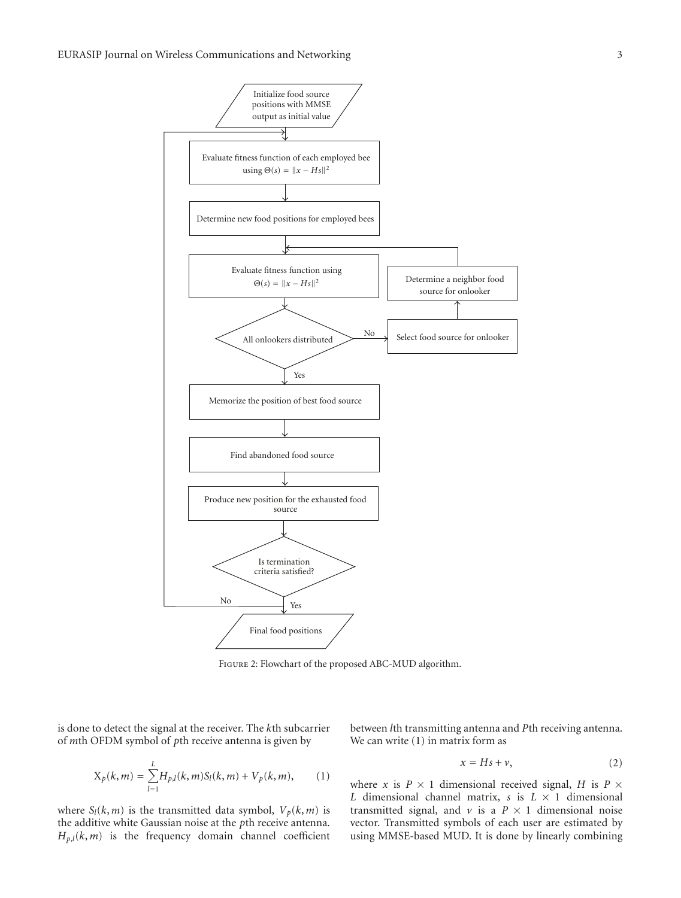

Figure 2: Flowchart of the proposed ABC-MUD algorithm.

is done to detect the signal at the receiver. The *k*th subcarrier of *m*th OFDM symbol of *p*th receive antenna is given by

$$
X_p(k,m) = \sum_{l=1}^{L} H_{p,l}(k,m) S_l(k,m) + V_p(k,m), \qquad (1)
$$

where  $S_l(k, m)$  is the transmitted data symbol,  $V_p(k, m)$  is the additive white Gaussian noise at the *p*th receive antenna.  $H_{p,l}(k,m)$  is the frequency domain channel coefficient

between *l*th transmitting antenna and *P*th receiving antenna. We can write (1) in matrix form as

$$
x = Hs + v,\tag{2}
$$

where *x* is  $P \times 1$  dimensional received signal, *H* is  $P \times$ *L* dimensional channel matrix, *s* is *L* × 1 dimensional transmitted signal, and  $\nu$  is a  $P \times 1$  dimensional noise vector. Transmitted symbols of each user are estimated by using MMSE-based MUD. It is done by linearly combining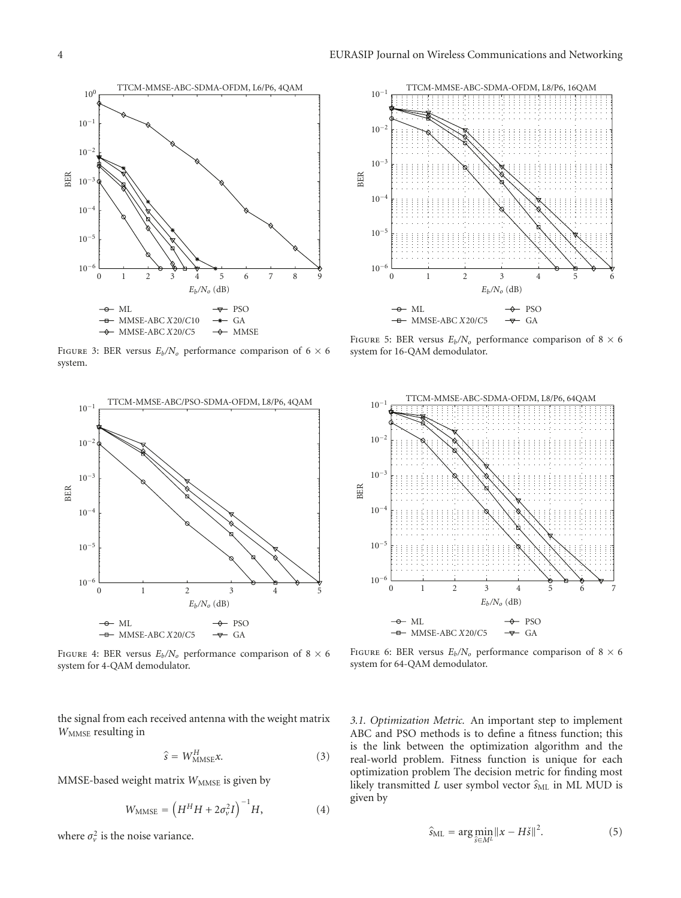

FIGURE 3: BER versus  $E_b/N_o$  performance comparison of  $6 \times 6$ system.



FIGURE 4: BER versus  $E_b/N_o$  performance comparison of  $8 \times 6$ system for 4-QAM demodulator.

the signal from each received antenna with the weight matrix W<sub>MMSE</sub> resulting in

$$
\hat{s} = W_{\text{MMSE}}^H x. \tag{3}
$$

MMSE-based weight matrix  $W_{MMSE}$  is given by

$$
W_{\text{MMSE}} = \left(H^H H + 2\sigma_v^2 I\right)^{-1} H,\tag{4}
$$

where  $\sigma_v^2$  is the noise variance.



FIGURE 5: BER versus  $E_b/N_o$  performance comparison of  $8 \times 6$ system for 16-QAM demodulator.



FIGURE 6: BER versus  $E_b/N_o$  performance comparison of  $8 \times 6$ system for 64-QAM demodulator.

*3.1. Optimization Metric.* An important step to implement ABC and PSO methods is to define a fitness function; this is the link between the optimization algorithm and the real-world problem. Fitness function is unique for each optimization problem The decision metric for finding most likely transmitted *L* user symbol vector  $\hat{s}_{ML}$  in ML MUD is given by

$$
\widehat{s}_{\text{ML}} = \arg\min_{\hat{s} \in M^L} ||x - H\check{s}||^2. \tag{5}
$$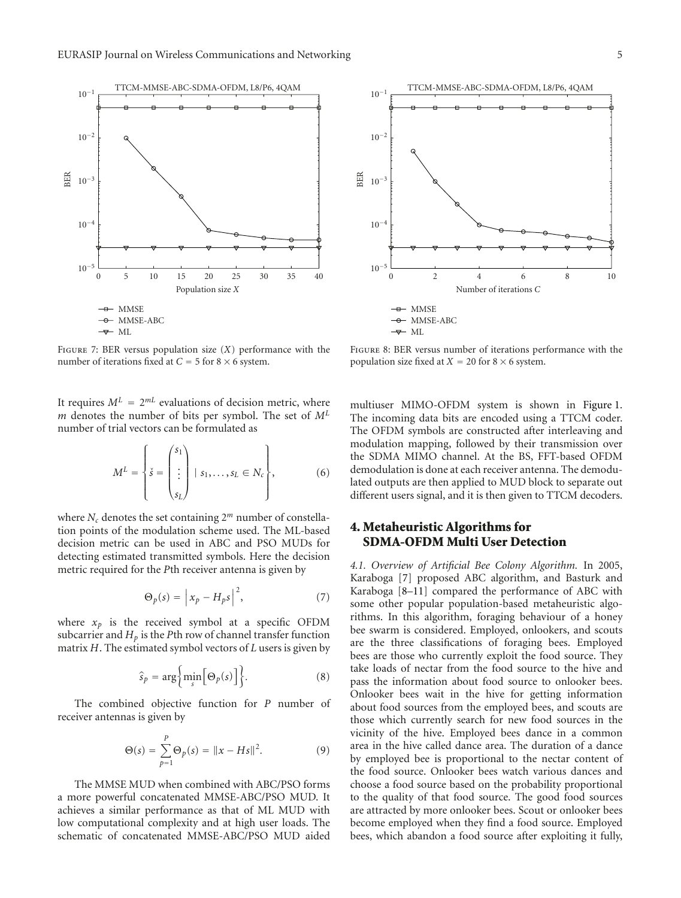

FIGURE 7: BER versus population size  $(X)$  performance with the number of iterations fixed at  $C = 5$  for  $8 \times 6$  system.

It requires  $M^L = 2^{mL}$  evaluations of decision metric, where *m* denotes the number of bits per symbol. The set of *M<sup>L</sup>* number of trial vectors can be formulated as

$$
M^{L} = \left\{ \check{s} = \begin{pmatrix} s_{1} \\ \vdots \\ s_{L} \end{pmatrix} \mid s_{1}, \dots, s_{L} \in N_{c} \right\},
$$
 (6)

where *Nc* denotes the set containing 2*<sup>m</sup>* number of constellation points of the modulation scheme used. The ML-based decision metric can be used in ABC and PSO MUDs for detecting estimated transmitted symbols. Here the decision metric required for the *P*th receiver antenna is given by

$$
\Theta_p(s) = \left| x_p - H_p s \right|^2,\tag{7}
$$

where  $x_p$  is the received symbol at a specific OFDM subcarrier and  $H_p$  is the *P*th row of channel transfer function matrix *H*. The estimated symbol vectors of *L* users is given by

$$
\widehat{s}_p = \arg\bigg\{\min_s \big[\Theta_p(s)\big]\bigg\}.\tag{8}
$$

The combined objective function for *P* number of receiver antennas is given by

$$
\Theta(s) = \sum_{p=1}^{P} \Theta_p(s) = ||x - Hs||^2.
$$
 (9)

The MMSE MUD when combined with ABC/PSO forms a more powerful concatenated MMSE-ABC/PSO MUD. It achieves a similar performance as that of ML MUD with low computational complexity and at high user loads. The schematic of concatenated MMSE-ABC/PSO MUD aided



Figure 8: BER versus number of iterations performance with the population size fixed at  $X = 20$  for  $8 \times 6$  system.

multiuser MIMO-OFDM system is shown in Figure 1. The incoming data bits are encoded using a TTCM coder. The OFDM symbols are constructed after interleaving and modulation mapping, followed by their transmission over the SDMA MIMO channel. At the BS, FFT-based OFDM demodulation is done at each receiver antenna. The demodulated outputs are then applied to MUD block to separate out different users signal, and it is then given to TTCM decoders.

# **4. Metaheuristic Algorithms for SDMA-OFDM Multi User Detection**

*4.1. Overview of Artificial Bee Colony Algorithm.* In 2005, Karaboga [7] proposed ABC algorithm, and Basturk and Karaboga [8–11] compared the performance of ABC with some other popular population-based metaheuristic algorithms. In this algorithm, foraging behaviour of a honey bee swarm is considered. Employed, onlookers, and scouts are the three classifications of foraging bees. Employed bees are those who currently exploit the food source. They take loads of nectar from the food source to the hive and pass the information about food source to onlooker bees. Onlooker bees wait in the hive for getting information about food sources from the employed bees, and scouts are those which currently search for new food sources in the vicinity of the hive. Employed bees dance in a common area in the hive called dance area. The duration of a dance by employed bee is proportional to the nectar content of the food source. Onlooker bees watch various dances and choose a food source based on the probability proportional to the quality of that food source. The good food sources are attracted by more onlooker bees. Scout or onlooker bees become employed when they find a food source. Employed bees, which abandon a food source after exploiting it fully,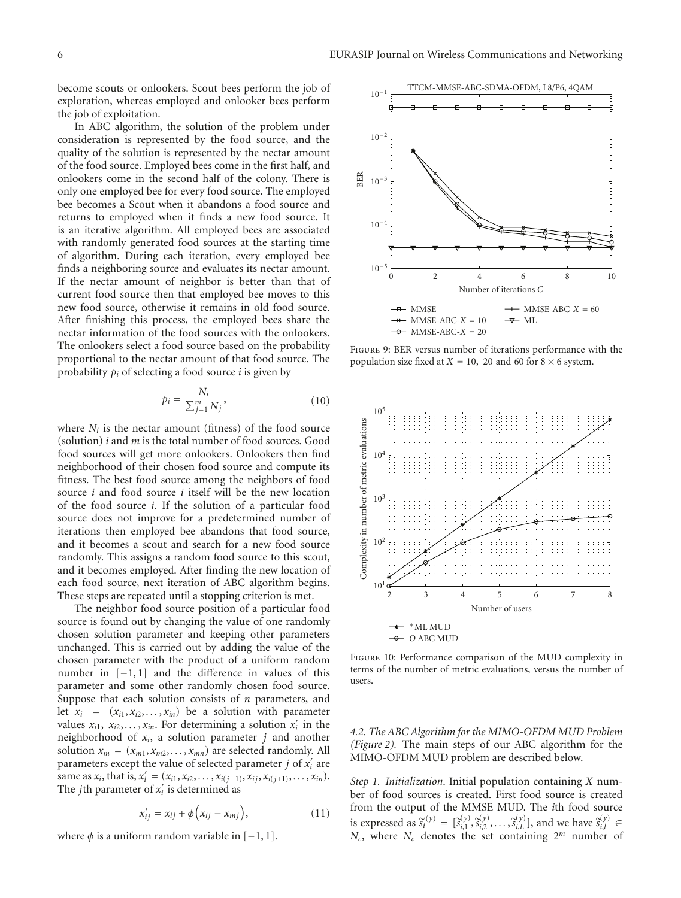become scouts or onlookers. Scout bees perform the job of exploration, whereas employed and onlooker bees perform the job of exploitation.

In ABC algorithm, the solution of the problem under consideration is represented by the food source, and the quality of the solution is represented by the nectar amount of the food source. Employed bees come in the first half, and onlookers come in the second half of the colony. There is only one employed bee for every food source. The employed bee becomes a Scout when it abandons a food source and returns to employed when it finds a new food source. It is an iterative algorithm. All employed bees are associated with randomly generated food sources at the starting time of algorithm. During each iteration, every employed bee finds a neighboring source and evaluates its nectar amount. If the nectar amount of neighbor is better than that of current food source then that employed bee moves to this new food source, otherwise it remains in old food source. After finishing this process, the employed bees share the nectar information of the food sources with the onlookers. The onlookers select a food source based on the probability proportional to the nectar amount of that food source. The probability  $p_i$  of selecting a food source *i* is given by

$$
p_i = \frac{N_i}{\sum_{j=1}^{m} N_j},
$$
\n(10)

where  $N_i$  is the nectar amount (fitness) of the food source (solution) *i* and *m* is the total number of food sources. Good food sources will get more onlookers. Onlookers then find neighborhood of their chosen food source and compute its fitness. The best food source among the neighbors of food source *i* and food source *i* itself will be the new location of the food source *i*. If the solution of a particular food source does not improve for a predetermined number of iterations then employed bee abandons that food source, and it becomes a scout and search for a new food source randomly. This assigns a random food source to this scout, and it becomes employed. After finding the new location of each food source, next iteration of ABC algorithm begins. These steps are repeated until a stopping criterion is met.

The neighbor food source position of a particular food source is found out by changing the value of one randomly chosen solution parameter and keeping other parameters unchanged. This is carried out by adding the value of the chosen parameter with the product of a uniform random number in  $[-1, 1]$  and the difference in values of this parameter and some other randomly chosen food source. Suppose that each solution consists of *n* parameters, and let  $x_i$  =  $(x_{i1}, x_{i2}, \ldots, x_{in})$  be a solution with parameter values  $x_{i1}$ ,  $x_{i2}$ ,  $\ldots$ ,  $x_{in}$ . For determining a solution  $x_i'$  in the neighborhood of *xi*, a solution parameter *j* and another solution  $x_m = (x_{m1}, x_{m2}, \ldots, x_{mn})$  are selected randomly. All parameters except the value of selected parameter *j* of *x <sup>i</sup>* are same as  $x_i$ , that is,  $x'_i = (x_{i1}, x_{i2}, \ldots, x_{i(j-1)}, x_{ij}, x_{i(j+1)}, \ldots, x_{in}).$ The *j*th parameter of *x <sup>i</sup>* is determined as

$$
x'_{ij} = x_{ij} + \phi(x_{ij} - x_{mj}), \qquad (11)
$$

where  $\phi$  is a uniform random variable in  $[-1, 1]$ .



Figure 9: BER versus number of iterations performance with the population size fixed at  $X = 10$ , 20 and 60 for  $8 \times 6$  system.



Figure 10: Performance comparison of the MUD complexity in terms of the number of metric evaluations, versus the number of users.

*4.2. The ABC Algorithm for the MIMO-OFDM MUD Problem (Figure 2).* The main steps of our ABC algorithm for the MIMO-OFDM MUD problem are described below.

*Step 1. Initialization*. Initial population containing *X* number of food sources is created. First food source is created from the output of the MMSE MUD. The *i*th food source is expressed as  $\hat{s}_i^{(y)} = [s_{i1}^{(y)}, s_{i2}^{(y)}, \ldots, s_{iL}^{(y)}]$ , and we have  $\hat{s}_{iJ}^{(y)} \in N$ , where *N*, denotes the set containing  $2^m$  number of *Nc*, where *Nc* denotes the set containing 2*<sup>m</sup>* number of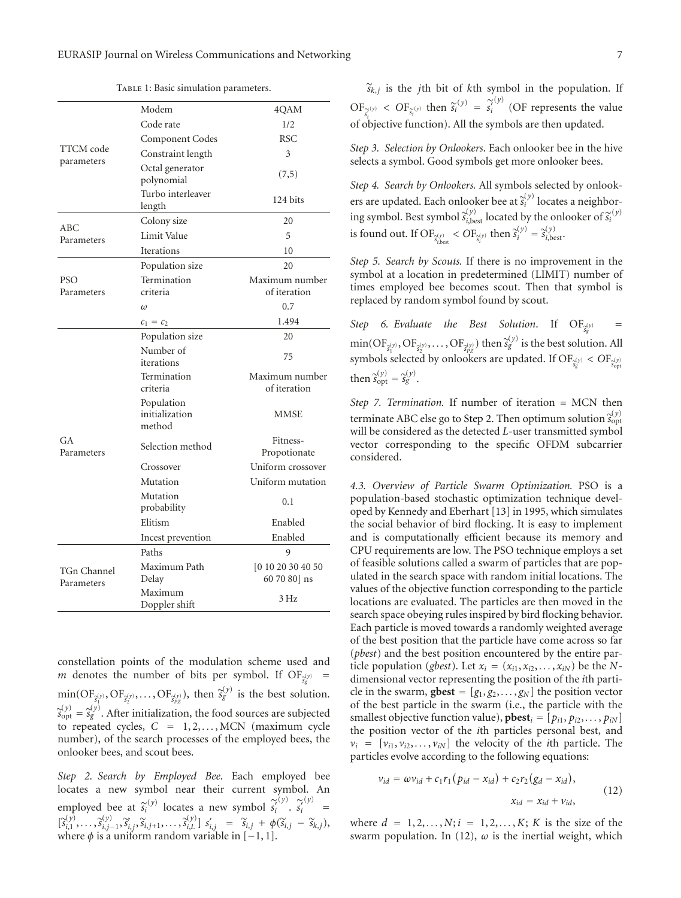|                           | Modem                                  | 4QAM                              |  |  |
|---------------------------|----------------------------------------|-----------------------------------|--|--|
|                           | Code rate                              | 1/2                               |  |  |
| TTCM code<br>parameters   | Component Codes                        | <b>RSC</b>                        |  |  |
|                           | Constraint length                      | 3                                 |  |  |
|                           | Octal generator<br>polynomial          | (7,5)                             |  |  |
|                           | Turbo interleaver<br>length            | 124 bits                          |  |  |
| ABC                       | Colony size                            | 20                                |  |  |
| Parameters                | Limit Value                            | 5                                 |  |  |
|                           | <b>Iterations</b>                      | 10                                |  |  |
|                           | Population size                        | 20                                |  |  |
| <b>PSO</b><br>Parameters  | Termination<br>criteria                | Maximum number<br>of iteration    |  |  |
|                           | $\omega$                               | 0.7                               |  |  |
|                           | $c_1 = c_2$                            | 1.494                             |  |  |
|                           | Population size                        | 20                                |  |  |
|                           | Number of<br>iterations                | 75                                |  |  |
|                           | Termination<br>criteria                | Maximum number<br>of iteration    |  |  |
|                           | Population<br>initialization<br>method | MMSE                              |  |  |
| <b>GA</b><br>Parameters   | Selection method                       | Fitness-<br>Propotionate          |  |  |
|                           | Crossover                              | Uniform crossover                 |  |  |
|                           | Mutation                               | Uniform mutation                  |  |  |
|                           | Mutation<br>probability                | 0.1                               |  |  |
|                           | Elitism                                | Enabled                           |  |  |
|                           | Incest prevention                      | Enabled                           |  |  |
|                           | Paths                                  | 9                                 |  |  |
| TGn Channel<br>Parameters | Maximum Path<br>Delay                  | [0 10 20 30 40 50<br>60 70 80] ns |  |  |
|                           | Maximum<br>Doppler shift               | 3 Hz                              |  |  |

TABLE 1: Basic simulation parameters.

constellation points of the modulation scheme used and *m* denotes the number of bits per symbol. If  $\mathrm{OF}_{\hat{s}_g^{(y)}}$  = *s*  $\min(\text{OF}_{S_Y^{(y)}}, \text{OF}_{S_Z^{(y)}}, \dots, \text{OF}_{S_{PZ}^{(y)}})$ , then  $S_g^{(y)}$  is the best solution.  $\hat{s}_{opt}^{(y)} = \hat{s}_{g}^{(y)}$ . After initialization, the food sources are subjected<br>to repeated cycles  $C = 1.2$  MCN (maximum cycle to repeated cycles, *C* = 1, 2, *...* , MCN (maximum cycle number), of the search processes of the employed bees, the onlooker bees, and scout bees.

*Step 2. Search by Employed Bee*. Each employed bee locates a new symbol near their current symbol. An employed bee at  $\tilde{s}_i^{(y)}$  locates a new symbol  $\tilde{s}_i^{(y)}$ (*y*) . *s i* (*y*) =  $[\hat{s}_{i,1}^{(y)}, \ldots, \hat{s}_{i,j-1}^{(y)}, \tilde{s}_{i,j}, \tilde{s}_{i,j+1}, \ldots, \tilde{s}_{i,L}^{(y)}]$   $s'_{i,j} = \tilde{s}_{i,j} + \phi(\tilde{s}_{i,j} - \tilde{s}_{k,j}),$  where  $\phi$  is a uniform random variable in  $[-1, 1].$ 

 $\widetilde{s}_{k,i}$  is the *j*th bit of *k*th symbol in the population. If  $\text{OF}_{\widetilde{s}_i^{(y)}} < \text{OF}_{\widetilde{s}_i^{(y)}} \text{ then } \widetilde{s}_i^{(y)} = \widetilde{s}_i^{(y)}$  $\frac{1}{s_i}$  of objective function). All the symbols are then updated. (*y*) (OF represents the value

*Step 3. Selection by Onlookers*. Each onlooker bee in the hive selects a symbol. Good symbols get more onlooker bees.

*Step 4. Search by Onlookers.* All symbols selected by onlookers are updated. Each onlooker bee at *<sup>s</sup>* (*y*) *<sup>i</sup>* locates a neighboring symbol. Best symbol  $\hat{s}_{i,\text{best}}^{(y)}$  located by the onlooker of  $\hat{s}_i^{(y)}$ is found out. If  $\text{OF}_{\hat{s}_{i,\text{best}}^{(y)}} < \text{OF}_{\hat{s}_i^{(y)}}$  then  $\hat{s}_i^{(y)} = \hat{s}_{i,\text{best}}^{(y)}$ .

*Step 5. Search by Scouts.* If there is no improvement in the symbol at a location in predetermined (LIMIT) number of times employed bee becomes scout. Then that symbol is replaced by random symbol found by scout.

*Step 6. Evaluate the Best Solution.* If  $\text{OF}_{\tilde{s}_g^{(y)}}$  =  $\min(\text{OF}_{S_1^{(y)}}, \text{OF}_{S_2^{(y)}}, \dots, \text{OF}_{S_{p_2^{(y)}}})$  then  $S_2^{(y)}$  is the best solution. All symbols selected by onlookers are updated. If  $\text{OF}_{S_g^{(y)}} < \text{OF}_{S_{op}^{(y)}}$ then  $\hat{s}_{opt}^{(y)} = \hat{s}_g^{(y)}$ .

*Step 7. Termination.* If number of iteration = MCN then terminate ABC else go to Step 2. Then optimum solution  $\hat{s}_{\text{opt}}^{(y)}$ will be considered as the detected *L*-user transmitted symbol vector corresponding to the specific OFDM subcarrier considered.

*4.3. Overview of Particle Swarm Optimization.* PSO is a population-based stochastic optimization technique developed by Kennedy and Eberhart [13] in 1995, which simulates the social behavior of bird flocking. It is easy to implement and is computationally efficient because its memory and CPU requirements are low. The PSO technique employs a set of feasible solutions called a swarm of particles that are populated in the search space with random initial locations. The values of the objective function corresponding to the particle locations are evaluated. The particles are then moved in the search space obeying rules inspired by bird flocking behavior. Each particle is moved towards a randomly weighted average of the best position that the particle have come across so far (*pbest*) and the best position encountered by the entire particle population (*gbest*). Let  $x_i = (x_{i1}, x_{i2}, \dots, x_{iN})$  be the *N*dimensional vector representing the position of the *i*th particle in the swarm, **gbest** =  $[g_1, g_2, \ldots, g_N]$  the position vector of the best particle in the swarm (i.e., the particle with the smallest objective function value),  $\mathbf{pbest}_i = [p_{i1}, p_{i2}, \dots, p_{iN}]$ the position vector of the *i*th particles personal best, and  $v_i = [v_{i1}, v_{i2}, \dots, v_{iN}]$  the velocity of the *i*th particle. The particles evolve according to the following equations:

$$
v_{id} = \omega v_{id} + c_1 r_1 (p_{id} - x_{id}) + c_2 r_2 (g_d - x_{id}),
$$
  

$$
x_{id} = x_{id} + v_{id},
$$
 (12)

where  $d = 1, 2, ..., N; i = 1, 2, ..., K; K$  is the size of the swarm population. In  $(12)$ ,  $\omega$  is the inertial weight, which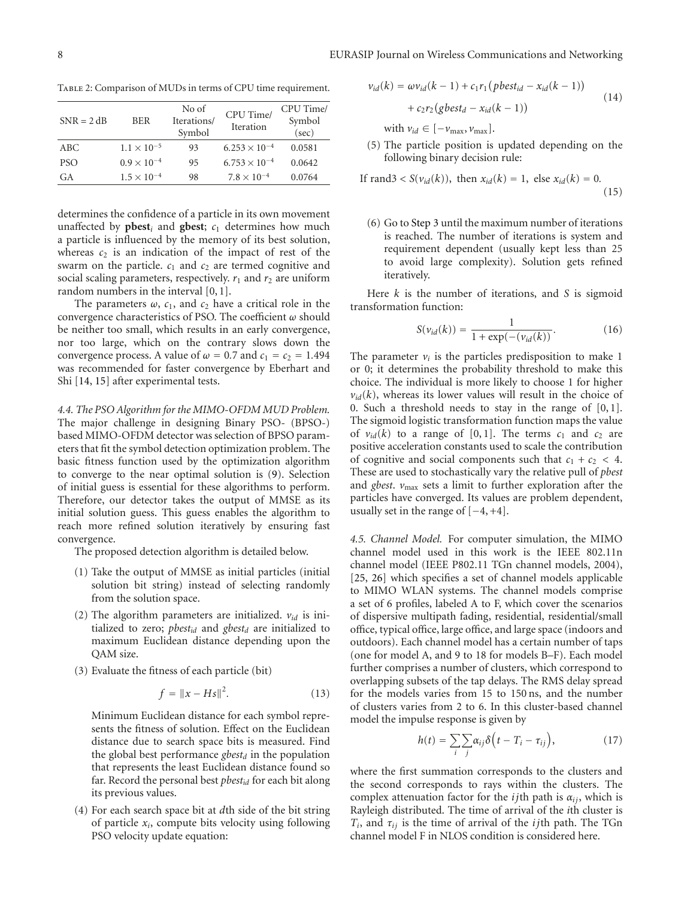Table 2: Comparison of MUDs in terms of CPU time requirement.

| $SNR = 2 dB$ | <b>BER</b>           | No of<br>Iterations/<br>Symbol | CPU Time/<br>Iteration | CPU Time/<br>Symbol<br>(sec) |
|--------------|----------------------|--------------------------------|------------------------|------------------------------|
| ABC          | $1.1 \times 10^{-5}$ | 93                             | $6.253 \times 10^{-4}$ | 0.0581                       |
| <b>PSO</b>   | $0.9 \times 10^{-4}$ | 95                             | $6.753 \times 10^{-4}$ | 0.0642                       |
| GA           | $1.5 \times 10^{-4}$ | 98                             | $7.8 \times 10^{-4}$   | 0.0764                       |

determines the confidence of a particle in its own movement unaffected by **pbest**<sub>*i*</sub> and **gbest**;  $c_1$  determines how much a particle is influenced by the memory of its best solution, whereas  $c_2$  is an indication of the impact of rest of the swarm on the particle.  $c_1$  and  $c_2$  are termed cognitive and social scaling parameters, respectively.  $r_1$  and  $r_2$  are uniform random numbers in the interval [0, 1].

The parameters  $\omega$ ,  $c_1$ , and  $c_2$  have a critical role in the convergence characteristics of PSO. The coefficient *ω* should be neither too small, which results in an early convergence, nor too large, which on the contrary slows down the convergence process. A value of  $\omega = 0.7$  and  $c_1 = c_2 = 1.494$ was recommended for faster convergence by Eberhart and Shi [14, 15] after experimental tests.

*4.4. The PSO Algorithm for the MIMO-OFDM MUD Problem.* The major challenge in designing Binary PSO- (BPSO-) based MIMO-OFDM detector was selection of BPSO parameters that fit the symbol detection optimization problem. The basic fitness function used by the optimization algorithm to converge to the near optimal solution is (9). Selection of initial guess is essential for these algorithms to perform. Therefore, our detector takes the output of MMSE as its initial solution guess. This guess enables the algorithm to reach more refined solution iteratively by ensuring fast convergence.

The proposed detection algorithm is detailed below.

- (1) Take the output of MMSE as initial particles (initial solution bit string) instead of selecting randomly from the solution space.
- (2) The algorithm parameters are initialized.  $v_{id}$  is initialized to zero; *pbest<sub>id</sub>* and *gbest<sub>d</sub>* are initialized to maximum Euclidean distance depending upon the QAM size.
- (3) Evaluate the fitness of each particle (bit)

$$
f = \|x - Hs\|^2. \tag{13}
$$

Minimum Euclidean distance for each symbol represents the fitness of solution. Effect on the Euclidean distance due to search space bits is measured. Find the global best performance  $gbest_d$  in the population that represents the least Euclidean distance found so far. Record the personal best *pbestid* for each bit along its previous values.

(4) For each search space bit at *d*th side of the bit string of particle *xi*, compute bits velocity using following PSO velocity update equation:

$$
v_{id}(k) = \omega v_{id}(k-1) + c_1 r_1 (pbest_{id} - x_{id}(k-1)) + c_2 r_2 (gbest_d - x_{id}(k-1))
$$
\n(14)

with  $v_{id} \in [-v_{max}, v_{max}]$ .

(5) The particle position is updated depending on the following binary decision rule:

If 
$$
\text{rand3} < S(\nu_{id}(k))
$$
, then  $x_{id}(k) = 1$ , else  $x_{id}(k) = 0$ . (15)

(6) Go to Step 3 until the maximum number of iterations is reached. The number of iterations is system and requirement dependent (usually kept less than 25 to avoid large complexity). Solution gets refined iteratively.

Here *k* is the number of iterations, and *S* is sigmoid transformation function:

$$
S(v_{id}(k)) = \frac{1}{1 + \exp(-(v_{id}(k))}.
$$
 (16)

The parameter  $v_i$  is the particles predisposition to make 1 or 0; it determines the probability threshold to make this choice. The individual is more likely to choose 1 for higher  $v_{id}(k)$ , whereas its lower values will result in the choice of 0. Such a threshold needs to stay in the range of [0, 1]. The sigmoid logistic transformation function maps the value of  $v_{id}(k)$  to a range of [0,1]. The terms  $c_1$  and  $c_2$  are positive acceleration constants used to scale the contribution of cognitive and social components such that  $c_1 + c_2 < 4$ . These are used to stochastically vary the relative pull of *pbest* and *gbest*.  $v_{\text{max}}$  sets a limit to further exploration after the particles have converged. Its values are problem dependent, usually set in the range of [−4, +4].

*4.5. Channel Model.* For computer simulation, the MIMO channel model used in this work is the IEEE 802.11n channel model (IEEE P802.11 TGn channel models, 2004), [25, 26] which specifies a set of channel models applicable to MIMO WLAN systems. The channel models comprise a set of 6 profiles, labeled A to F, which cover the scenarios of dispersive multipath fading, residential, residential/small office, typical office, large office, and large space (indoors and outdoors). Each channel model has a certain number of taps (one for model A, and 9 to 18 for models B–F). Each model further comprises a number of clusters, which correspond to overlapping subsets of the tap delays. The RMS delay spread for the models varies from 15 to 150 ns, and the number of clusters varies from 2 to 6. In this cluster-based channel model the impulse response is given by

$$
h(t) = \sum_{i} \sum_{j} \alpha_{ij} \delta(t - T_i - \tau_{ij}), \qquad (17)
$$

where the first summation corresponds to the clusters and the second corresponds to rays within the clusters. The complex attenuation factor for the *ij*th path is *αij*, which is Rayleigh distributed. The time of arrival of the *i*th cluster is  $T_i$ , and  $\tau_{ii}$  is the time of arrival of the *ij*th path. The TGn channel model F in NLOS condition is considered here.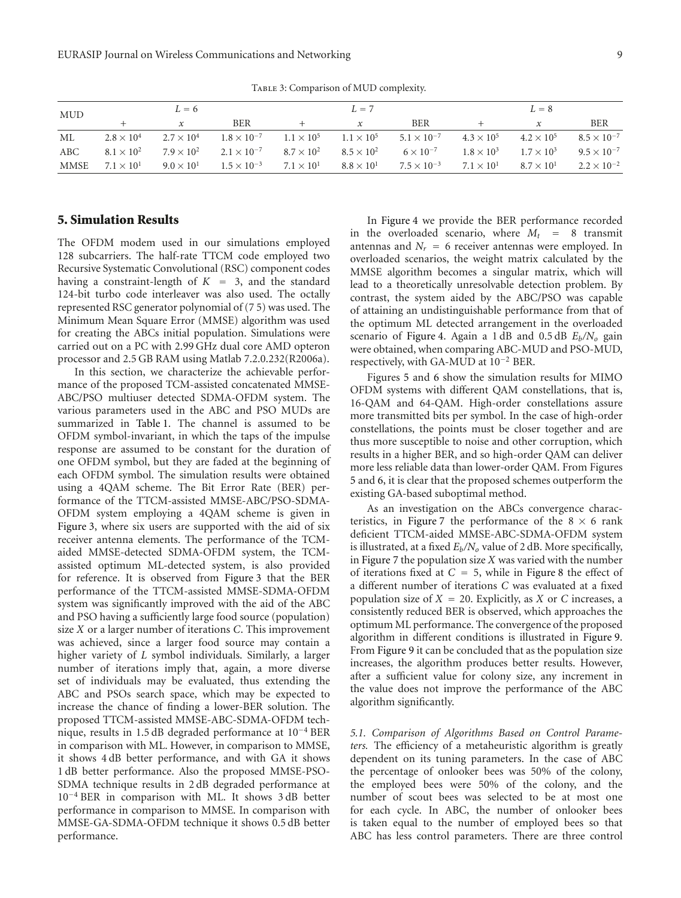TABLE 3: Comparison of MUD complexity.

| <b>MUD</b> | $L = 6$             |                     |                      | $L = 7$                                                      |                     | $L=8$                |                     |                     |                      |
|------------|---------------------|---------------------|----------------------|--------------------------------------------------------------|---------------------|----------------------|---------------------|---------------------|----------------------|
|            |                     | $\mathcal{X}$       | <b>BER</b>           |                                                              | $\mathcal{X}$       | <b>BER</b>           |                     | $\mathcal{X}$       | <b>BER</b>           |
| ML         | $2.8 \times 10^4$   | $2.7 \times 10^4$   |                      | $1.8 \times 10^{-7}$ $1.1 \times 10^{5}$ $1.1 \times 10^{5}$ |                     | $5.1 \times 10^{-7}$ | $4.3 \times 10^{5}$ | $4.2 \times 10^{5}$ | $8.5 \times 10^{-7}$ |
| ABC        | $8.1 \times 10^2$   | $7.9 \times 10^{2}$ | $2.1 \times 10^{-7}$ | $8.7 \times 10^{2}$                                          | $8.5 \times 10^{2}$ | $6 \times 10^{-7}$   | $1.8 \times 10^{3}$ | $1.7 \times 10^3$   | $9.5 \times 10^{-7}$ |
| MMSE       | $7.1 \times 10^{1}$ | $9.0 \times 10^{1}$ | $1.5 \times 10^{-3}$ | $7.1 \times 10^{1}$                                          | $8.8\times10^{1}$   | $7.5 \times 10^{-3}$ | $7.1 \times 10^{1}$ | $8.7 \times 10^{1}$ | $2.2 \times 10^{-2}$ |

#### **5. Simulation Results**

The OFDM modem used in our simulations employed 128 subcarriers. The half-rate TTCM code employed two Recursive Systematic Convolutional (RSC) component codes having a constraint-length of  $K = 3$ , and the standard 124-bit turbo code interleaver was also used. The octally represented RSC generator polynomial of (7 5) was used. The Minimum Mean Square Error (MMSE) algorithm was used for creating the ABCs initial population. Simulations were carried out on a PC with 2.99 GHz dual core AMD opteron processor and 2.5 GB RAM using Matlab 7.2.0.232(R2006a).

In this section, we characterize the achievable performance of the proposed TCM-assisted concatenated MMSE-ABC/PSO multiuser detected SDMA-OFDM system. The various parameters used in the ABC and PSO MUDs are summarized in Table 1. The channel is assumed to be OFDM symbol-invariant, in which the taps of the impulse response are assumed to be constant for the duration of one OFDM symbol, but they are faded at the beginning of each OFDM symbol. The simulation results were obtained using a 4QAM scheme. The Bit Error Rate (BER) performance of the TTCM-assisted MMSE-ABC/PSO-SDMA-OFDM system employing a 4QAM scheme is given in Figure 3, where six users are supported with the aid of six receiver antenna elements. The performance of the TCMaided MMSE-detected SDMA-OFDM system, the TCMassisted optimum ML-detected system, is also provided for reference. It is observed from Figure 3 that the BER performance of the TTCM-assisted MMSE-SDMA-OFDM system was significantly improved with the aid of the ABC and PSO having a sufficiently large food source (population) size *X* or a larger number of iterations *C*. This improvement was achieved, since a larger food source may contain a higher variety of *L* symbol individuals. Similarly, a larger number of iterations imply that, again, a more diverse set of individuals may be evaluated, thus extending the ABC and PSOs search space, which may be expected to increase the chance of finding a lower-BER solution. The proposed TTCM-assisted MMSE-ABC-SDMA-OFDM technique, results in 1.5 dB degraded performance at 10−<sup>4</sup> BER in comparison with ML. However, in comparison to MMSE, it shows 4 dB better performance, and with GA it shows 1 dB better performance. Also the proposed MMSE-PSO-SDMA technique results in 2 dB degraded performance at 10−<sup>4</sup> BER in comparison with ML. It shows 3 dB better performance in comparison to MMSE. In comparison with MMSE-GA-SDMA-OFDM technique it shows 0.5 dB better performance.

In Figure 4 we provide the BER performance recorded in the overloaded scenario, where  $M_t$  = 8 transmit antennas and  $N_r = 6$  receiver antennas were employed. In overloaded scenarios, the weight matrix calculated by the MMSE algorithm becomes a singular matrix, which will lead to a theoretically unresolvable detection problem. By contrast, the system aided by the ABC/PSO was capable of attaining an undistinguishable performance from that of the optimum ML detected arrangement in the overloaded scenario of Figure 4. Again a 1 dB and 0.5 dB *Eb/No* gain were obtained, when comparing ABC-MUD and PSO-MUD, respectively, with GA-MUD at 10−<sup>2</sup> BER.

Figures 5 and 6 show the simulation results for MIMO OFDM systems with different QAM constellations, that is, 16-QAM and 64-QAM. High-order constellations assure more transmitted bits per symbol. In the case of high-order constellations, the points must be closer together and are thus more susceptible to noise and other corruption, which results in a higher BER, and so high-order QAM can deliver more less reliable data than lower-order QAM. From Figures 5 and 6, it is clear that the proposed schemes outperform the existing GA-based suboptimal method.

As an investigation on the ABCs convergence characteristics, in Figure 7 the performance of the  $8 \times 6$  rank deficient TTCM-aided MMSE-ABC-SDMA-OFDM system is illustrated, at a fixed  $E_b/N_o$  value of 2 dB. More specifically, in Figure 7 the population size *X* was varied with the number of iterations fixed at *C* = 5, while in Figure 8 the effect of a different number of iterations *C* was evaluated at a fixed population size of  $X = 20$ . Explicitly, as *X* or *C* increases, a consistently reduced BER is observed, which approaches the optimum ML performance. The convergence of the proposed algorithm in different conditions is illustrated in Figure 9. From Figure 9 it can be concluded that as the population size increases, the algorithm produces better results. However, after a sufficient value for colony size, any increment in the value does not improve the performance of the ABC algorithm significantly.

*5.1. Comparison of Algorithms Based on Control Parameters.* The efficiency of a metaheuristic algorithm is greatly dependent on its tuning parameters. In the case of ABC the percentage of onlooker bees was 50% of the colony, the employed bees were 50% of the colony, and the number of scout bees was selected to be at most one for each cycle. In ABC, the number of onlooker bees is taken equal to the number of employed bees so that ABC has less control parameters. There are three control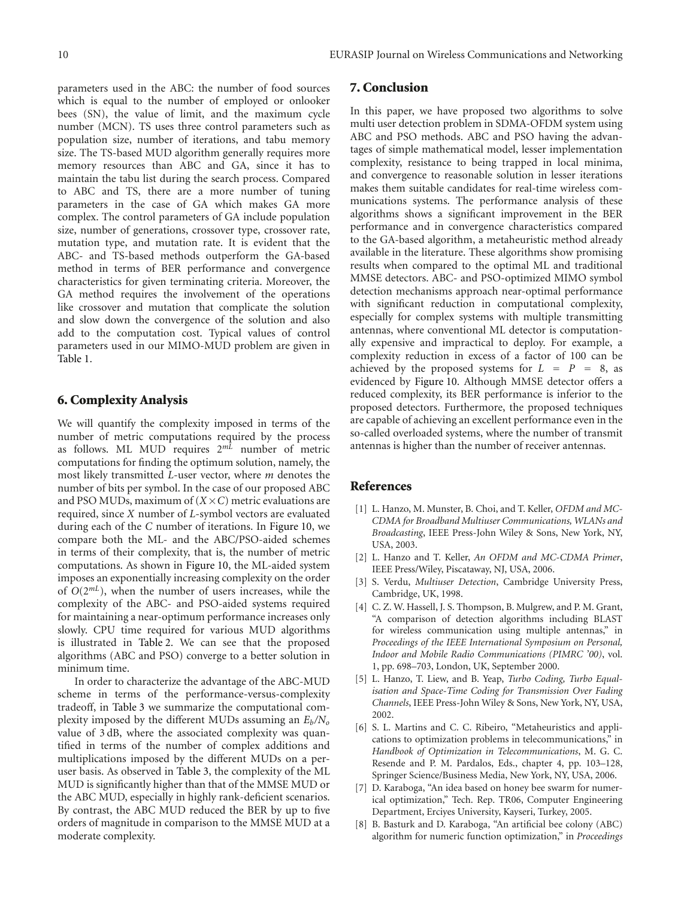parameters used in the ABC: the number of food sources which is equal to the number of employed or onlooker bees (SN), the value of limit, and the maximum cycle number (MCN). TS uses three control parameters such as population size, number of iterations, and tabu memory size. The TS-based MUD algorithm generally requires more memory resources than ABC and GA, since it has to maintain the tabu list during the search process. Compared to ABC and TS, there are a more number of tuning parameters in the case of GA which makes GA more complex. The control parameters of GA include population size, number of generations, crossover type, crossover rate, mutation type, and mutation rate. It is evident that the ABC- and TS-based methods outperform the GA-based method in terms of BER performance and convergence characteristics for given terminating criteria. Moreover, the GA method requires the involvement of the operations like crossover and mutation that complicate the solution and slow down the convergence of the solution and also add to the computation cost. Typical values of control parameters used in our MIMO-MUD problem are given in Table 1.

## **6. Complexity Analysis**

We will quantify the complexity imposed in terms of the number of metric computations required by the process as follows. ML MUD requires 2*mL* number of metric computations for finding the optimum solution, namely, the most likely transmitted *L*-user vector, where *m* denotes the number of bits per symbol. In the case of our proposed ABC and PSO MUDs, maximum of  $(X \times C)$  metric evaluations are required, since *X* number of *L*-symbol vectors are evaluated during each of the *C* number of iterations. In Figure 10, we compare both the ML- and the ABC/PSO-aided schemes in terms of their complexity, that is, the number of metric computations. As shown in Figure 10, the ML-aided system imposes an exponentially increasing complexity on the order of *O*(2*mL*), when the number of users increases, while the complexity of the ABC- and PSO-aided systems required for maintaining a near-optimum performance increases only slowly. CPU time required for various MUD algorithms is illustrated in Table 2. We can see that the proposed algorithms (ABC and PSO) converge to a better solution in minimum time.

In order to characterize the advantage of the ABC-MUD scheme in terms of the performance-versus-complexity tradeoff, in Table 3 we summarize the computational complexity imposed by the different MUDs assuming an *Eb/No* value of 3 dB, where the associated complexity was quantified in terms of the number of complex additions and multiplications imposed by the different MUDs on a peruser basis. As observed in Table 3, the complexity of the ML MUD is significantly higher than that of the MMSE MUD or the ABC MUD, especially in highly rank-deficient scenarios. By contrast, the ABC MUD reduced the BER by up to five orders of magnitude in comparison to the MMSE MUD at a moderate complexity.

## **7. Conclusion**

In this paper, we have proposed two algorithms to solve multi user detection problem in SDMA-OFDM system using ABC and PSO methods. ABC and PSO having the advantages of simple mathematical model, lesser implementation complexity, resistance to being trapped in local minima, and convergence to reasonable solution in lesser iterations makes them suitable candidates for real-time wireless communications systems. The performance analysis of these algorithms shows a significant improvement in the BER performance and in convergence characteristics compared to the GA-based algorithm, a metaheuristic method already available in the literature. These algorithms show promising results when compared to the optimal ML and traditional MMSE detectors. ABC- and PSO-optimized MIMO symbol detection mechanisms approach near-optimal performance with significant reduction in computational complexity, especially for complex systems with multiple transmitting antennas, where conventional ML detector is computationally expensive and impractical to deploy. For example, a complexity reduction in excess of a factor of 100 can be achieved by the proposed systems for  $L = P = 8$ , as evidenced by Figure 10. Although MMSE detector offers a reduced complexity, its BER performance is inferior to the proposed detectors. Furthermore, the proposed techniques are capable of achieving an excellent performance even in the so-called overloaded systems, where the number of transmit antennas is higher than the number of receiver antennas.

#### **References**

- [1] L. Hanzo, M. Munster, B. Choi, and T. Keller, *OFDM and MC-CDMA for Broadband Multiuser Communications, WLANs and Broadcasting*, IEEE Press-John Wiley & Sons, New York, NY, USA, 2003.
- [2] L. Hanzo and T. Keller, *An OFDM and MC-CDMA Primer*, IEEE Press/Wiley, Piscataway, NJ, USA, 2006.
- [3] S. Verdu, *Multiuser Detection*, Cambridge University Press, Cambridge, UK, 1998.
- [4] C. Z. W. Hassell, J. S. Thompson, B. Mulgrew, and P. M. Grant, "A comparison of detection algorithms including BLAST for wireless communication using multiple antennas," in *Proceedings of the IEEE International Symposium on Personal, Indoor and Mobile Radio Communications (PIMRC '00)*, vol. 1, pp. 698–703, London, UK, September 2000.
- [5] L. Hanzo, T. Liew, and B. Yeap, *Turbo Coding, Turbo Equalisation and Space-Time Coding for Transmission Over Fading Channels*, IEEE Press-John Wiley & Sons, New York, NY, USA, 2002.
- [6] S. L. Martins and C. C. Ribeiro, "Metaheuristics and applications to optimization problems in telecommunications," in *Handbook of Optimization in Telecommunications*, M. G. C. Resende and P. M. Pardalos, Eds., chapter 4, pp. 103–128, Springer Science/Business Media, New York, NY, USA, 2006.
- [7] D. Karaboga, "An idea based on honey bee swarm for numerical optimization," Tech. Rep. TR06, Computer Engineering Department, Erciyes University, Kayseri, Turkey, 2005.
- [8] B. Basturk and D. Karaboga, "An artificial bee colony (ABC) algorithm for numeric function optimization," in *Proceedings*